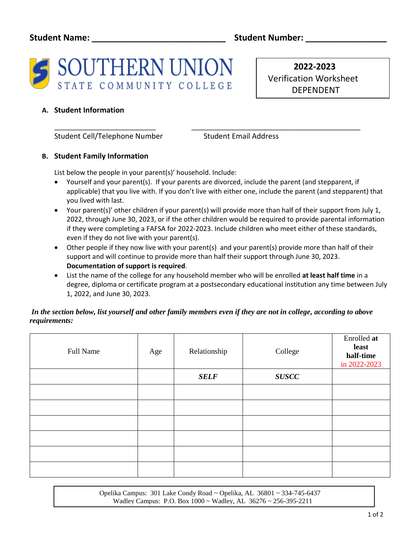

 **2022-2023** Verification Worksheet DEPENDENT

# **A. Student Information**

Student Cell/Telephone Number Student Email Address

## **B. Student Family Information**

List below the people in your parent(s)' household. Include:

• Yourself and your parent(s). If your parents are divorced, include the parent (and stepparent, if applicable) that you live with. If you don't live with either one, include the parent (and stepparent) that you lived with last.

\_\_\_\_\_\_\_\_\_\_\_\_\_\_\_\_\_\_\_\_\_\_\_\_\_\_\_ \_\_\_\_\_\_\_\_\_\_\_\_\_\_\_\_\_\_\_\_\_\_\_\_\_\_\_\_\_\_\_\_\_\_\_\_\_\_\_\_\_\_\_\_\_

- Your parent(s)' other children if your parent(s) will provide more than half of their support from July 1, 2022, through June 30, 2023, or if the other children would be required to provide parental information if they were completing a FAFSA for 2022-2023. Include children who meet either of these standards, even if they do not live with your parent(s).
- Other people if they now live with your parent(s) and your parent(s) provide more than half of their support and will continue to provide more than half their support through June 30, 2023. **Documentation of support is required**.
- List the name of the college for any household member who will be enrolled **at least half time** in a degree, diploma or certificate program at a postsecondary educational institution any time between July 1, 2022, and June 30, 2023.

## *In the section below, list yourself and other family members even if they are not in college, according to above requirements:*

| Full Name | Age | Relationship | College      | Enrolled at<br>least<br>half-time<br>in 2022-2023 |
|-----------|-----|--------------|--------------|---------------------------------------------------|
|           |     | <b>SELF</b>  | <b>SUSCC</b> |                                                   |
|           |     |              |              |                                                   |
|           |     |              |              |                                                   |
|           |     |              |              |                                                   |
|           |     |              |              |                                                   |
|           |     |              |              |                                                   |
|           |     |              |              |                                                   |

 Opelika Campus: 301 Lake Condy Road ~ Opelika, AL 36801 ~ 334-745-6437 Wadley Campus: P.O. Box 1000 ~ Wadley, AL 36276 ~ 256-395-2211